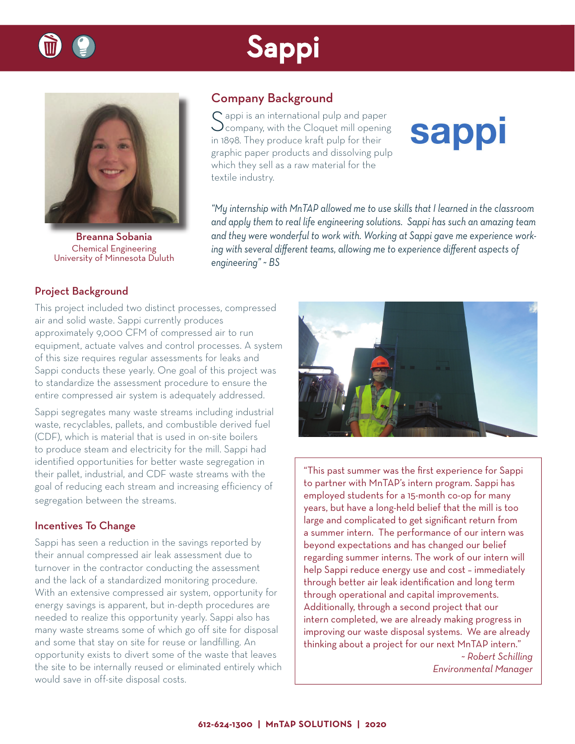



Breanna Sobania Chemical Engineering University of Minnesota Duluth

### Company Background

Sappi is an international pulp and paper<br>Company, with the Cloquet mill opening in 1898. They produce kraft pulp for their graphic paper products and dissolving pulp which they sell as a raw material for the textile industry.

# **sappi**

*"My internship with MnTAP allowed me to use skills that I learned in the classroom and apply them to real life engineering solutions. Sappi has such an amazing team and they were wonderful to work with. Working at Sappi gave me experience work*ing with several different teams, allowing me to experience different aspects of *engineering" ~ BS*

#### Project Background

This project included two distinct processes, compressed air and solid waste. Sappi currently produces approximately 9,000 CFM of compressed air to run equipment, actuate valves and control processes. A system of this size requires regular assessments for leaks and Sappi conducts these yearly. One goal of this project was to standardize the assessment procedure to ensure the entire compressed air system is adequately addressed.

Sappi segregates many waste streams including industrial waste, recyclables, pallets, and combustible derived fuel (CDF), which is material that is used in on-site boilers to produce steam and electricity for the mill. Sappi had identified opportunities for better waste segregation in their pallet, industrial, and CDF waste streams with the goal of reducing each stream and increasing efficiency of segregation between the streams.

#### Incentives To Change

Sappi has seen a reduction in the savings reported by their annual compressed air leak assessment due to turnover in the contractor conducting the assessment and the lack of a standardized monitoring procedure. With an extensive compressed air system, opportunity for energy savings is apparent, but in-depth procedures are needed to realize this opportunity yearly. Sappi also has many waste streams some of which go off site for disposal and some that stay on site for reuse or landfilling. An opportunity exists to divert some of the waste that leaves the site to be internally reused or eliminated entirely which would save in off-site disposal costs.



"This past summer was the first experience for Sappi to partner with MnTAP's intern program. Sappi has employed students for a 15-month co-op for many years, but have a long-held belief that the mill is too large and complicated to get significant return from a summer intern. The performance of our intern was beyond expectations and has changed our belief regarding summer interns. The work of our intern will help Sappi reduce energy use and cost – immediately through better air leak identification and long term through operational and capital improvements. Additionally, through a second project that our intern completed, we are already making progress in improving our waste disposal systems. We are already thinking about a project for our next MnTAP intern."

*~ Robert Schilling Environmental Manager*